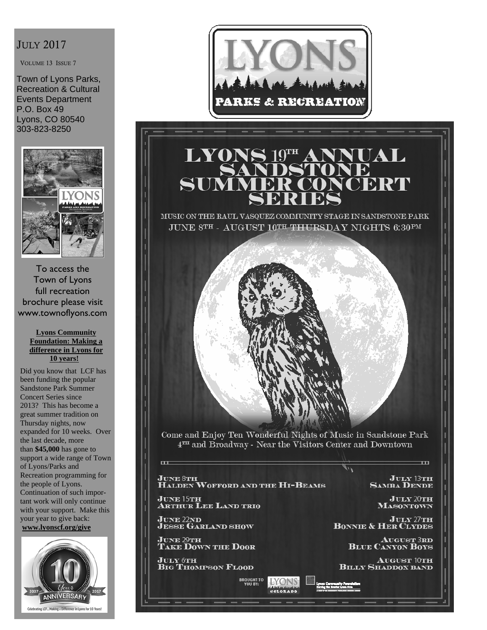#### JULY 2017

VOLUME 13 ISSUE 7

Town of Lyons Parks, Recreation & Cultural Events Department P.O. Box 49 Lyons, CO 80540 303-823-8250



To access the Town of Lyons full recreation brochure please visit www.townoflyons.com

#### **Lyons Community Foundation: Making a difference in Lyons for 10 years!**

Did you know that LCF has been funding the popular Sandstone Park Summer Concert Series since 2013? This has become a great summer tradition on Thursday nights, now expanded for 10 weeks. Over the last decade, more than **\$45,000** has gone to support a wide range of Town of Lyons/Parks and Recreation programming for the people of Lyons. Continuation of such important work will only continue with your support. Make this your year to give back: **www.lyonscf.org/give**





# LYO JAL

MUSIC ON THE RAUL VASQUEZ COMMUNITY STAGE IN SANDSTONE PARK JUNE 8TH - AUGUST 10TH THURSDAY NIGHTS 6:30PM



Come and Enjoy Ten Wonderful Nights of Music in Sandstone Park 4TH and Broadway - Near the Visitors Center and Downtown

JUNE 8TH<br>Halden Wofford and the Hi-Beams

**BROUGHT TO**<br>YOU BY:

**LYONS** COLORADO

JUNE 15TH<br>Arthur Lee Land trio

**JUNE 22ND<br>JESSE GARLAND SHOW** 

 $\overline{a}$ 

**JUNE 29TH<br>TAKE DOWN THE DOOR** 

July 6th<br>Big Thompson Flood

 $J$ ULY 13TH **SAMBA DENDE** 

 $^{\rm -m}$ 

 $J$ ULY 20TH **MASONTOWN** 

**JULY 27TH**<br>**BONNIE & HER CLYDES** 

**AUGUST 3RD BLUE CANYON BOYS** 

**AUGUST 10TH BILLY SHADDOX BAND**